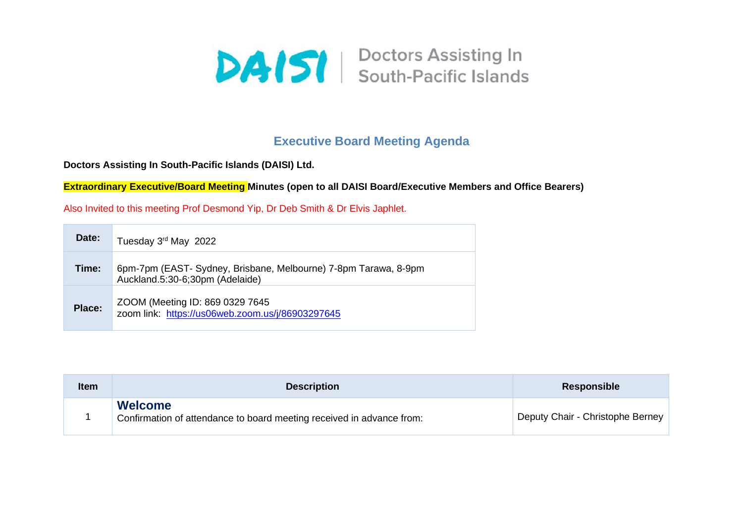

## **Executive Board Meeting Agenda**

**Doctors Assisting In South-Pacific Islands (DAISI) Ltd.**

**Extraordinary Executive/Board Meeting Minutes (open to all DAISI Board/Executive Members and Office Bearers)**

Also Invited to this meeting Prof Desmond Yip, Dr Deb Smith & Dr Elvis Japhlet.

| Date:  | Tuesday 3rd May 2022                                                                               |
|--------|----------------------------------------------------------------------------------------------------|
| Time:  | 6pm-7pm (EAST- Sydney, Brisbane, Melbourne) 7-8pm Tarawa, 8-9pm<br>Auckland.5:30-6;30pm (Adelaide) |
| Place: | ZOOM (Meeting ID: 869 0329 7645<br>zoom link: https://us06web.zoom.us/j/86903297645                |

| <b>Item</b> | <b>Description</b>                                                                      | Responsible                      |
|-------------|-----------------------------------------------------------------------------------------|----------------------------------|
|             | <b>Welcome</b><br>Confirmation of attendance to board meeting received in advance from: | Deputy Chair - Christophe Berney |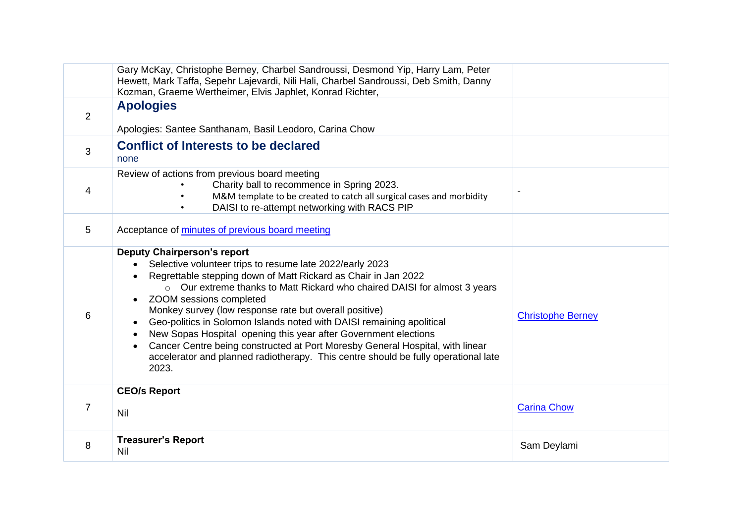|                | Gary McKay, Christophe Berney, Charbel Sandroussi, Desmond Yip, Harry Lam, Peter<br>Hewett, Mark Taffa, Sepehr Lajevardi, Nili Hali, Charbel Sandroussi, Deb Smith, Danny<br>Kozman, Graeme Wertheimer, Elvis Japhlet, Konrad Richter,                                                                                                                                                                                                                                                                                                                                                                                                                                                            |                          |
|----------------|---------------------------------------------------------------------------------------------------------------------------------------------------------------------------------------------------------------------------------------------------------------------------------------------------------------------------------------------------------------------------------------------------------------------------------------------------------------------------------------------------------------------------------------------------------------------------------------------------------------------------------------------------------------------------------------------------|--------------------------|
| $\overline{2}$ | <b>Apologies</b><br>Apologies: Santee Santhanam, Basil Leodoro, Carina Chow                                                                                                                                                                                                                                                                                                                                                                                                                                                                                                                                                                                                                       |                          |
| 3              | <b>Conflict of Interests to be declared</b><br>none                                                                                                                                                                                                                                                                                                                                                                                                                                                                                                                                                                                                                                               |                          |
| 4              | Review of actions from previous board meeting<br>Charity ball to recommence in Spring 2023.<br>M&M template to be created to catch all surgical cases and morbidity<br>DAISI to re-attempt networking with RACS PIP                                                                                                                                                                                                                                                                                                                                                                                                                                                                               |                          |
| 5              | Acceptance of minutes of previous board meeting                                                                                                                                                                                                                                                                                                                                                                                                                                                                                                                                                                                                                                                   |                          |
| 6              | <b>Deputy Chairperson's report</b><br>Selective volunteer trips to resume late 2022/early 2023<br>Regrettable stepping down of Matt Rickard as Chair in Jan 2022<br>Our extreme thanks to Matt Rickard who chaired DAISI for almost 3 years<br>$\circ$<br>ZOOM sessions completed<br>$\bullet$<br>Monkey survey (low response rate but overall positive)<br>Geo-politics in Solomon Islands noted with DAISI remaining apolitical<br>$\bullet$<br>New Sopas Hospital opening this year after Government elections<br>Cancer Centre being constructed at Port Moresby General Hospital, with linear<br>accelerator and planned radiotherapy. This centre should be fully operational late<br>2023. | <b>Christophe Berney</b> |
| $\overline{7}$ | <b>CEO/s Report</b><br>Nil                                                                                                                                                                                                                                                                                                                                                                                                                                                                                                                                                                                                                                                                        | <b>Carina Chow</b>       |
| 8              | <b>Treasurer's Report</b><br><b>Nil</b>                                                                                                                                                                                                                                                                                                                                                                                                                                                                                                                                                                                                                                                           | Sam Deylami              |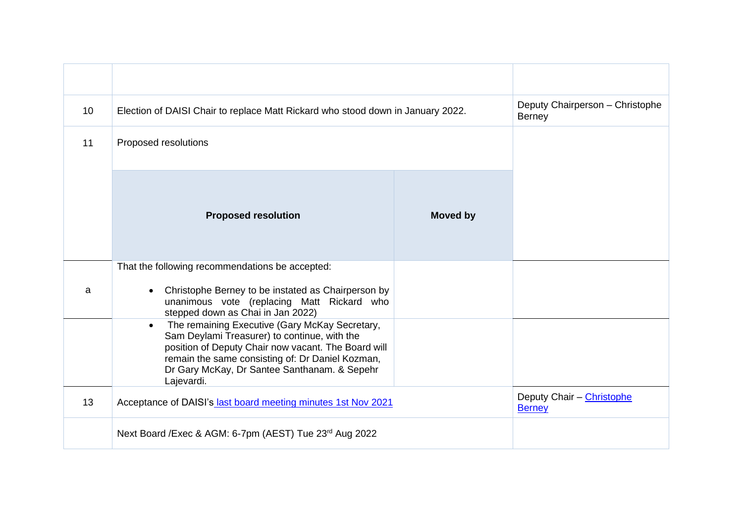| 10 | Election of DAISI Chair to replace Matt Rickard who stood down in January 2022.                                                                                                                                                                                                      |                 | Deputy Chairperson - Christophe<br><b>Berney</b> |
|----|--------------------------------------------------------------------------------------------------------------------------------------------------------------------------------------------------------------------------------------------------------------------------------------|-----------------|--------------------------------------------------|
| 11 | Proposed resolutions                                                                                                                                                                                                                                                                 |                 |                                                  |
|    | <b>Proposed resolution</b>                                                                                                                                                                                                                                                           | <b>Moved by</b> |                                                  |
|    | That the following recommendations be accepted:                                                                                                                                                                                                                                      |                 |                                                  |
| a  | Christophe Berney to be instated as Chairperson by<br>unanimous vote (replacing Matt Rickard who<br>stepped down as Chai in Jan 2022)                                                                                                                                                |                 |                                                  |
|    | The remaining Executive (Gary McKay Secretary,<br>$\bullet$<br>Sam Deylami Treasurer) to continue, with the<br>position of Deputy Chair now vacant. The Board will<br>remain the same consisting of: Dr Daniel Kozman,<br>Dr Gary McKay, Dr Santee Santhanam. & Sepehr<br>Lajevardi. |                 |                                                  |
| 13 | Acceptance of DAISI's last board meeting minutes 1st Nov 2021                                                                                                                                                                                                                        |                 | Deputy Chair - Christophe<br><b>Berney</b>       |
|    | Next Board / Exec & AGM: 6-7pm (AEST) Tue 23rd Aug 2022                                                                                                                                                                                                                              |                 |                                                  |